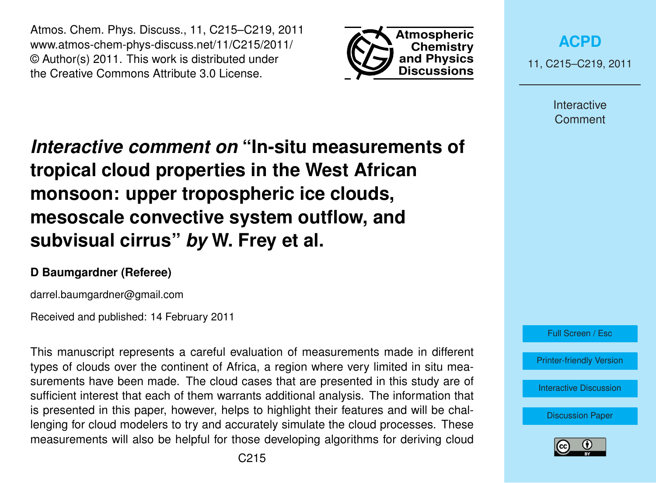Atmos. Chem. Phys. Discuss., 11, C215–C219, 2011 www.atmos-chem-phys-discuss.net/11/C215/2011/ © Author(s) 2011. This work is distributed under the Creative Commons Attribute 3.0 License.



**[ACPD](http://www.atmos-chem-phys-discuss.net)**

11, C215–C219, 2011

Interactive Comment

*Interactive comment on* **"In-situ measurements of tropical cloud properties in the West African monsoon: upper tropospheric ice clouds, mesoscale convective system outflow, and subvisual cirrus"** *by* **W. Frey et al.**

## **D Baumgardner (Referee)**

darrel.baumgardner@gmail.com

Received and published: 14 February 2011

This manuscript represents a careful evaluation of measurements made in different types of clouds over the continent of Africa, a region where very limited in situ measurements have been made. The cloud cases that are presented in this study are of sufficient interest that each of them warrants additional analysis. The information that is presented in this paper, however, helps to highlight their features and will be challenging for cloud modelers to try and accurately simulate the cloud processes. These measurements will also be helpful for those developing algorithms for deriving cloud



[Interactive Discussion](http://www.atmos-chem-phys-discuss.net/11/745/2011/acpd-11-745-2011-discussion.html)

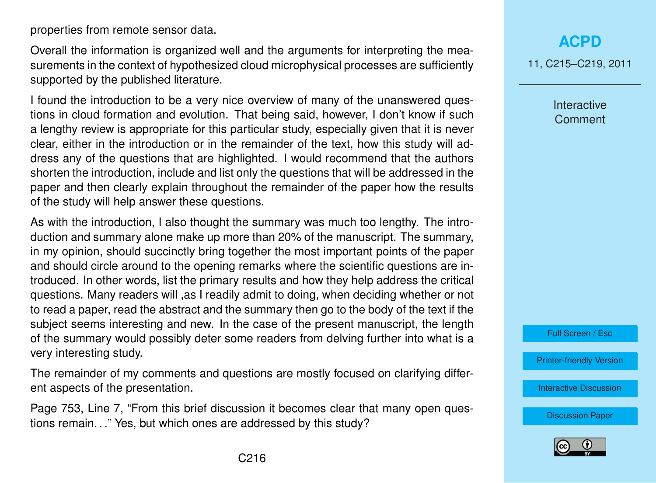properties from remote sensor data.

Overall the information is organized well and the arguments for interpreting the measurements in the context of hypothesized cloud microphysical processes are sufficiently supported by the published literature.

I found the introduction to be a very nice overview of many of the unanswered questions in cloud formation and evolution. That being said, however, I don't know if such a lengthy review is appropriate for this particular study, especially given that it is never clear, either in the introduction or in the remainder of the text, how this study will address any of the questions that are highlighted. I would recommend that the authors shorten the introduction, include and list only the questions that will be addressed in the paper and then clearly explain throughout the remainder of the paper how the results of the study will help answer these questions.

As with the introduction, I also thought the summary was much too lengthy. The introduction and summary alone make up more than 20% of the manuscript. The summary, in my opinion, should succinctly bring together the most important points of the paper and should circle around to the opening remarks where the scientific questions are introduced. In other words, list the primary results and how they help address the critical questions. Many readers will ,as I readily admit to doing, when deciding whether or not to read a paper, read the abstract and the summary then go to the body of the text if the subject seems interesting and new. In the case of the present manuscript, the length of the summary would possibly deter some readers from delving further into what is a very interesting study.

The remainder of my comments and questions are mostly focused on clarifying different aspects of the presentation.

Page 753, Line 7, "From this brief discussion it becomes clear that many open questions remain. . ." Yes, but which ones are addressed by this study?

## **[ACPD](http://www.atmos-chem-phys-discuss.net)**

11, C215–C219, 2011

Interactive Comment

Full Screen / Esc

[Printer-friendly Version](http://www.atmos-chem-phys-discuss.net/11/C215/2011/acpd-11-C215-2011-print.pdf)

[Interactive Discussion](http://www.atmos-chem-phys-discuss.net/11/745/2011/acpd-11-745-2011-discussion.html)

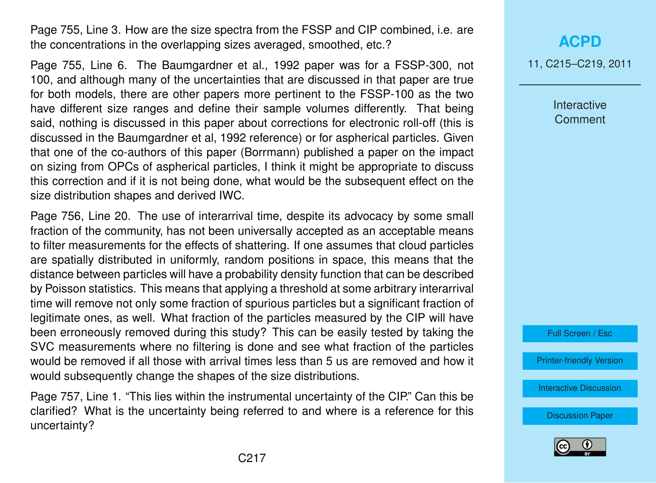Page 755, Line 3. How are the size spectra from the FSSP and CIP combined, i.e. are the concentrations in the overlapping sizes averaged, smoothed, etc.?

Page 755, Line 6. The Baumgardner et al., 1992 paper was for a FSSP-300, not 100, and although many of the uncertainties that are discussed in that paper are true for both models, there are other papers more pertinent to the FSSP-100 as the two have different size ranges and define their sample volumes differently. That being said, nothing is discussed in this paper about corrections for electronic roll-off (this is discussed in the Baumgardner et al, 1992 reference) or for aspherical particles. Given that one of the co-authors of this paper (Borrmann) published a paper on the impact on sizing from OPCs of aspherical particles, I think it might be appropriate to discuss this correction and if it is not being done, what would be the subsequent effect on the size distribution shapes and derived IWC.

Page 756, Line 20. The use of interarrival time, despite its advocacy by some small fraction of the community, has not been universally accepted as an acceptable means to filter measurements for the effects of shattering. If one assumes that cloud particles are spatially distributed in uniformly, random positions in space, this means that the distance between particles will have a probability density function that can be described by Poisson statistics. This means that applying a threshold at some arbitrary interarrival time will remove not only some fraction of spurious particles but a significant fraction of legitimate ones, as well. What fraction of the particles measured by the CIP will have been erroneously removed during this study? This can be easily tested by taking the SVC measurements where no filtering is done and see what fraction of the particles would be removed if all those with arrival times less than 5 us are removed and how it would subsequently change the shapes of the size distributions.

Page 757, Line 1. "This lies within the instrumental uncertainty of the CIP." Can this be clarified? What is the uncertainty being referred to and where is a reference for this uncertainty?

## **[ACPD](http://www.atmos-chem-phys-discuss.net)**

11, C215–C219, 2011

Interactive **Comment** 

Full Screen / Esc

[Printer-friendly Version](http://www.atmos-chem-phys-discuss.net/11/C215/2011/acpd-11-C215-2011-print.pdf)

[Interactive Discussion](http://www.atmos-chem-phys-discuss.net/11/745/2011/acpd-11-745-2011-discussion.html)

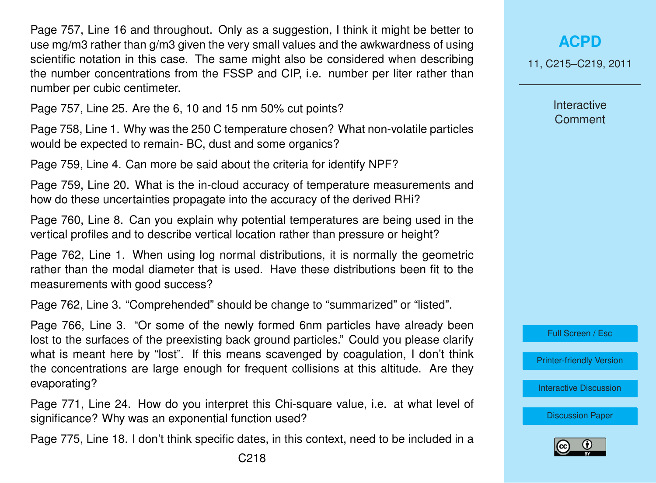Page 757, Line 16 and throughout. Only as a suggestion, I think it might be better to use mg/m3 rather than g/m3 given the very small values and the awkwardness of using scientific notation in this case. The same might also be considered when describing the number concentrations from the FSSP and CIP, i.e. number per liter rather than number per cubic centimeter.

Page 757, Line 25. Are the 6, 10 and 15 nm 50% cut points?

Page 758, Line 1. Why was the 250 C temperature chosen? What non-volatile particles would be expected to remain- BC, dust and some organics?

Page 759, Line 4. Can more be said about the criteria for identify NPF?

Page 759, Line 20. What is the in-cloud accuracy of temperature measurements and how do these uncertainties propagate into the accuracy of the derived RHi?

Page 760, Line 8. Can you explain why potential temperatures are being used in the vertical profiles and to describe vertical location rather than pressure or height?

Page 762, Line 1. When using log normal distributions, it is normally the geometric rather than the modal diameter that is used. Have these distributions been fit to the measurements with good success?

Page 762, Line 3. "Comprehended" should be change to "summarized" or "listed".

Page 766, Line 3. "Or some of the newly formed 6nm particles have already been lost to the surfaces of the preexisting back ground particles." Could you please clarify what is meant here by "lost". If this means scavenged by coagulation, I don't think the concentrations are large enough for frequent collisions at this altitude. Are they evaporating?

Page 771, Line 24. How do you interpret this Chi-square value, i.e. at what level of significance? Why was an exponential function used?

Page 775, Line 18. I don't think specific dates, in this context, need to be included in a

11, C215–C219, 2011

**Interactive Comment** 



[Printer-friendly Version](http://www.atmos-chem-phys-discuss.net/11/C215/2011/acpd-11-C215-2011-print.pdf)

[Interactive Discussion](http://www.atmos-chem-phys-discuss.net/11/745/2011/acpd-11-745-2011-discussion.html)